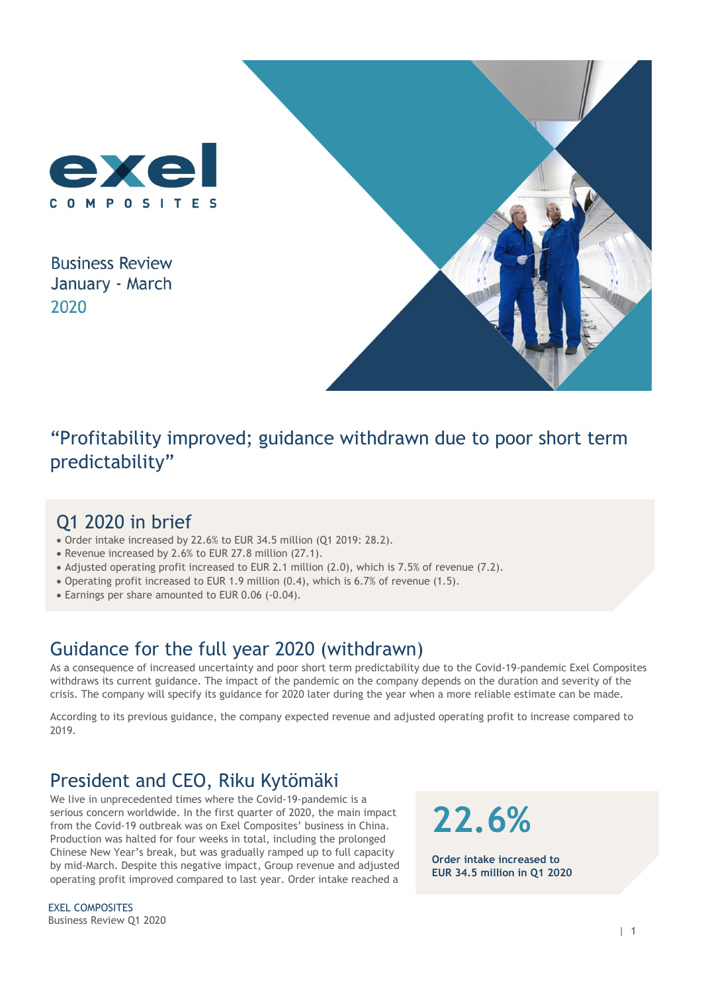

**Business Review** January - March 2020



"Profitability improved; guidance withdrawn due to poor short term predictability"

## Q1 2020 in brief

- Order intake increased by 22.6% to EUR 34.5 million (Q1 2019: 28.2).
- Revenue increased by 2.6% to EUR 27.8 million (27.1).
- Adjusted operating profit increased to EUR 2.1 million (2.0), which is 7.5% of revenue (7.2).
- Operating profit increased to EUR 1.9 million (0.4), which is 6.7% of revenue (1.5).
- Earnings per share amounted to EUR 0.06 (-0.04).

## Guidance for the full year 2020 (withdrawn)

As a consequence of increased uncertainty and poor short term predictability due to the Covid-19-pandemic Exel Composites withdraws its current guidance. The impact of the pandemic on the company depends on the duration and severity of the crisis. The company will specify its guidance for 2020 later during the year when a more reliable estimate can be made.

According to its previous guidance, the company expected revenue and adjusted operating profit to increase compared to 2019.

## President and CEO, Riku Kytömäki

We live in unprecedented times where the Covid-19-pandemic is a serious concern worldwide. In the first quarter of 2020, the main impact from the Covid-19 outbreak was on Exel Composites' business in China. Production was halted for four weeks in total, including the prolonged Chinese New Year's break, but was gradually ramped up to full capacity by mid-March. Despite this negative impact, Group revenue and adjusted operating profit improved compared to last year. Order intake reached a

EXEL COMPOSITES Business Review Q1 2020 **22.6%**

**Order intake increased to EUR 34.5 million in Q1 2020**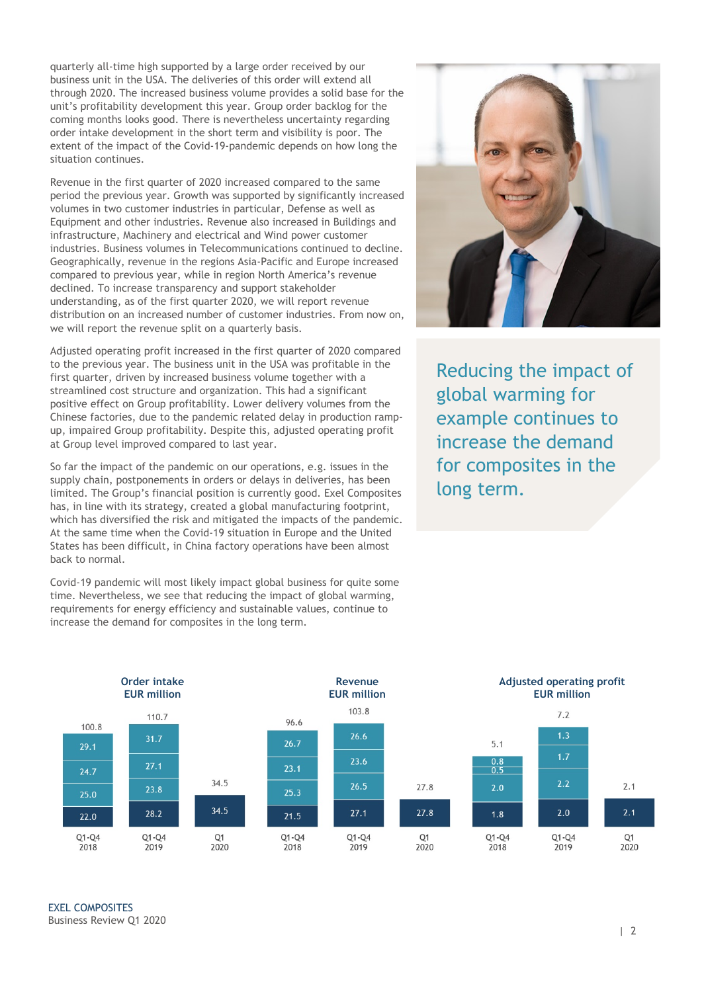quarterly all-time high supported by a large order received by our business unit in the USA. The deliveries of this order will extend all through 2020. The increased business volume provides a solid base for the unit's profitability development this year. Group order backlog for the coming months looks good. There is nevertheless uncertainty regarding order intake development in the short term and visibility is poor. The extent of the impact of the Covid-19-pandemic depends on how long the situation continues.

Revenue in the first quarter of 2020 increased compared to the same period the previous year. Growth was supported by significantly increased volumes in two customer industries in particular, Defense as well as Equipment and other industries. Revenue also increased in Buildings and infrastructure, Machinery and electrical and Wind power customer industries. Business volumes in Telecommunications continued to decline. Geographically, revenue in the regions Asia-Pacific and Europe increased compared to previous year, while in region North America's revenue declined. To increase transparency and support stakeholder understanding, as of the first quarter 2020, we will report revenue distribution on an increased number of customer industries. From now on, we will report the revenue split on a quarterly basis.

Adjusted operating profit increased in the first quarter of 2020 compared to the previous year. The business unit in the USA was profitable in the first quarter, driven by increased business volume together with a streamlined cost structure and organization. This had a significant positive effect on Group profitability. Lower delivery volumes from the Chinese factories, due to the pandemic related delay in production rampup, impaired Group profitability. Despite this, adjusted operating profit at Group level improved compared to last year.

So far the impact of the pandemic on our operations, e.g. issues in the supply chain, postponements in orders or delays in deliveries, has been limited. The Group's financial position is currently good. Exel Composites has, in line with its strategy, created a global manufacturing footprint, which has diversified the risk and mitigated the impacts of the pandemic. At the same time when the Covid-19 situation in Europe and the United States has been difficult, in China factory operations have been almost back to normal.

Covid-19 pandemic will most likely impact global business for quite some time. Nevertheless, we see that reducing the impact of global warming, requirements for energy efficiency and sustainable values, continue to increase the demand for composites in the long term.



Reducing the impact of global warming for example continues to increase the demand for composites in the long term.

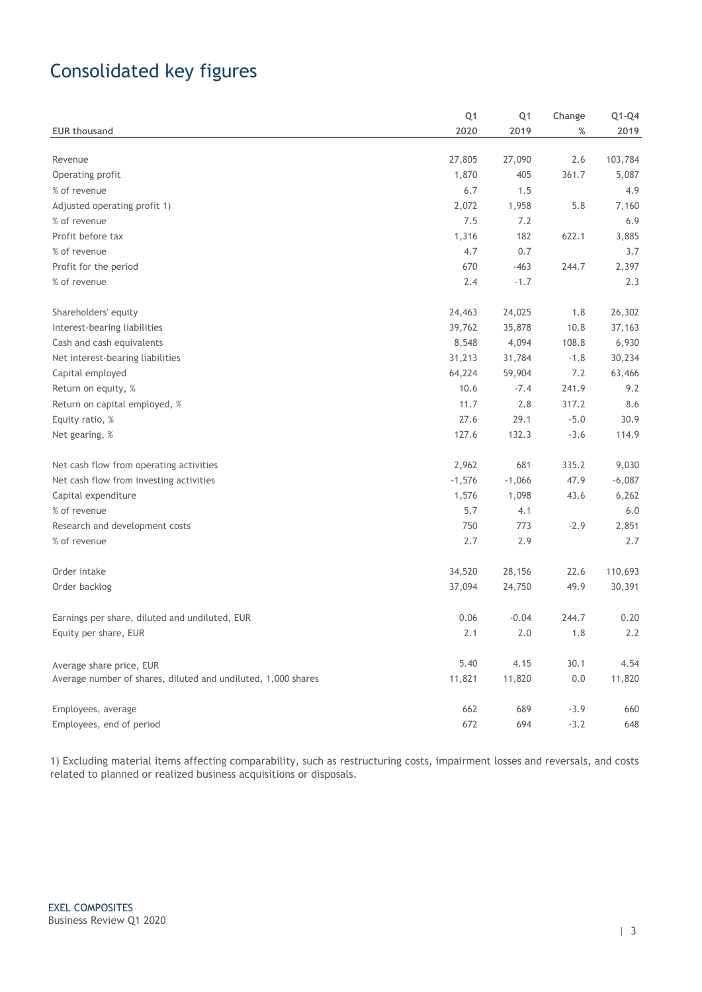# Consolidated key figures

| <b>EUR thousand</b>                                           | Q <sub>1</sub><br>2020 | Q <sub>1</sub><br>2019 | Change<br>% | Q1-Q4<br>2019 |
|---------------------------------------------------------------|------------------------|------------------------|-------------|---------------|
|                                                               |                        |                        |             |               |
| Revenue                                                       | 27,805                 | 27,090                 | 2.6         | 103,784       |
| Operating profit                                              | 1,870                  | 405                    | 361.7       | 5,087         |
| % of revenue                                                  | 6.7                    | 1.5                    |             | 4.9           |
| Adjusted operating profit 1)                                  | 2,072                  | 1,958                  | 5.8         | 7,160         |
| % of revenue                                                  | 7.5                    | 7.2                    |             | 6.9           |
| Profit before tax                                             | 1,316                  | 182                    | 622.1       | 3,885         |
| % of revenue                                                  | 4.7                    | 0.7                    |             | 3.7           |
| Profit for the period                                         | 670                    | $-463$                 | 244.7       | 2,397         |
| % of revenue                                                  | 2.4                    | $-1.7$                 |             | 2.3           |
| Shareholders' equity                                          | 24,463                 | 24,025                 | 1.8         | 26,302        |
| Interest-bearing liabilities                                  | 39,762                 | 35,878                 | 10.8        | 37,163        |
| Cash and cash equivalents                                     | 8,548                  | 4,094                  | 108.8       | 6,930         |
| Net interest-bearing liabilities                              | 31,213                 | 31,784                 | $-1.8$      | 30,234        |
| Capital employed                                              | 64,224                 | 59,904                 | 7.2         | 63,466        |
| Return on equity, %                                           | 10.6                   | $-7.4$                 | 241.9       | 9.2           |
| Return on capital employed, %                                 | 11.7                   | 2.8                    | 317.2       | 8.6           |
| Equity ratio, %                                               | 27.6                   | 29.1                   | $-5.0$      | 30.9          |
| Net gearing, %                                                | 127.6                  | 132.3                  | $-3.6$      | 114.9         |
| Net cash flow from operating activities                       | 2,962                  | 681                    | 335.2       | 9,030         |
| Net cash flow from investing activities                       | $-1,576$               | $-1,066$               | 47.9        | $-6,087$      |
| Capital expenditure                                           | 1,576                  | 1,098                  | 43.6        | 6,262         |
| % of revenue                                                  | 5.7                    | 4.1                    |             | 6.0           |
| Research and development costs                                | 750                    | 773                    | $-2.9$      | 2,851         |
| % of revenue                                                  | 2.7                    | 2.9                    |             | 2.7           |
| Order intake                                                  | 34,520                 | 28,156                 | 22.6        | 110,693       |
| Order backlog                                                 | 37,094                 | 24,750                 | 49.9        | 30,391        |
| Earnings per share, diluted and undiluted, EUR                | 0.06                   | $-0.04$                | 244.7       | 0.20          |
| Equity per share, EUR                                         | 2.1                    | 2.0                    | 1.8         | 2.2           |
| Average share price, EUR                                      | 5.40                   | 4.15                   | 30.1        | 4.54          |
| Average number of shares, diluted and undiluted, 1,000 shares | 11,821                 | 11,820                 | 0.0         | 11,820        |
| Employees, average                                            | 662                    | 689                    | $-3.9$      | 660           |
| Employees, end of period                                      | 672                    | 694                    | $-3.2$      | 648           |

1) Excluding material items affecting comparability, such as restructuring costs, impairment losses and reversals, and costs related to planned or realized business acquisitions or disposals.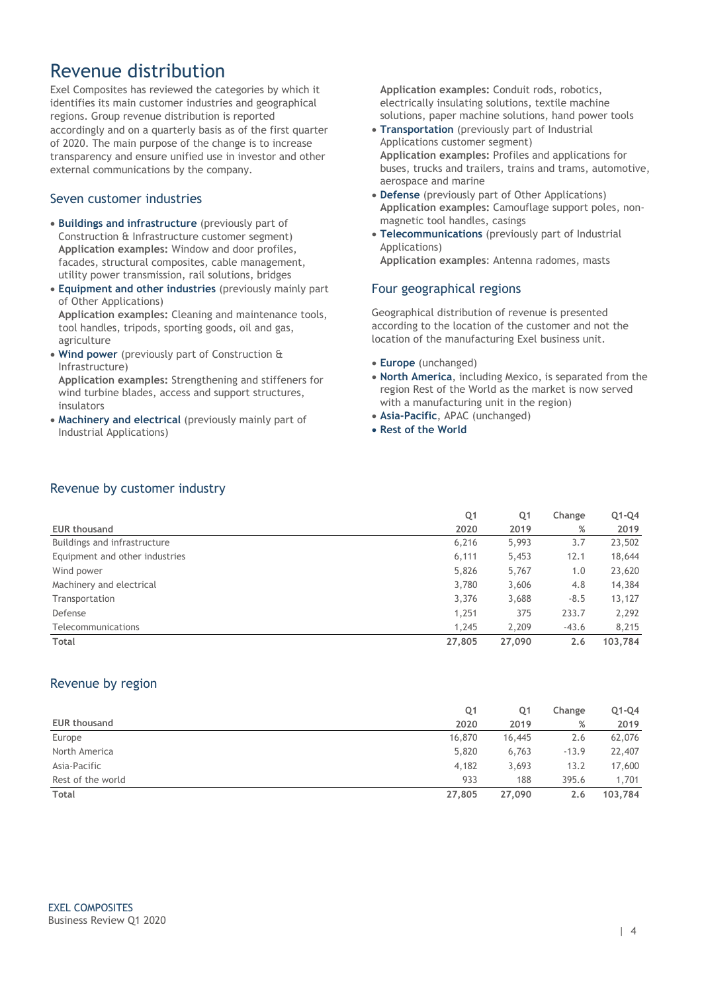### Revenue distribution

Exel Composites has reviewed the categories by which it identifies its main customer industries and geographical regions. Group revenue distribution is reported accordingly and on a quarterly basis as of the first quarter of 2020. The main purpose of the change is to increase transparency and ensure unified use in investor and other external communications by the company.

### Seven customer industries

- **Buildings and infrastructure** (previously part of Construction & Infrastructure customer segment) **Application examples:** Window and door profiles, facades, structural composites, cable management, utility power transmission, rail solutions, bridges
- **Equipment and other industries** (previously mainly part of Other Applications)

**Application examples:** Cleaning and maintenance tools, tool handles, tripods, sporting goods, oil and gas, agriculture

 **Wind power** (previously part of Construction & Infrastructure)

**Application examples:** Strengthening and stiffeners for wind turbine blades, access and support structures, insulators

 **Machinery and electrical** (previously mainly part of Industrial Applications)

**Application examples:** Conduit rods, robotics, electrically insulating solutions, textile machine solutions, paper machine solutions, hand power tools

- **Transportation** (previously part of Industrial Applications customer segment) **Application examples:** Profiles and applications for buses, trucks and trailers, trains and trams, automotive, aerospace and marine
- **Defense** (previously part of Other Applications) **Application examples:** Camouflage support poles, nonmagnetic tool handles, casings
- **Telecommunications** (previously part of Industrial Applications) **Application examples**: Antenna radomes, masts

#### Four geographical regions

Geographical distribution of revenue is presented according to the location of the customer and not the location of the manufacturing Exel business unit.

- **Europe** (unchanged)
- **North America**, including Mexico, is separated from the region Rest of the World as the market is now served with a manufacturing unit in the region)
- **Asia-Pacific**, APAC (unchanged)
- **Rest of the World**

### Revenue by customer industry

|                                | Q <sub>1</sub> | Q <sub>1</sub> | Change  | $Q1-Q4$ |
|--------------------------------|----------------|----------------|---------|---------|
| <b>EUR thousand</b>            | 2020           | 2019           | %       | 2019    |
| Buildings and infrastructure   | 6,216          | 5,993          | 3.7     | 23,502  |
| Equipment and other industries | 6,111          | 5,453          | 12.1    | 18,644  |
| Wind power                     | 5,826          | 5,767          | 1.0     | 23,620  |
| Machinery and electrical       | 3,780          | 3,606          | 4.8     | 14,384  |
| Transportation                 | 3,376          | 3,688          | $-8.5$  | 13,127  |
| Defense                        | 1,251          | 375            | 233.7   | 2,292   |
| Telecommunications             | 1,245          | 2,209          | $-43.6$ | 8,215   |
| Total                          | 27,805         | 27,090         | 2.6     | 103,784 |

### Revenue by region

|                     | Q1     | Q1     | Change  | $Q1-Q4$ |
|---------------------|--------|--------|---------|---------|
| <b>EUR thousand</b> | 2020   | 2019   | %       | 2019    |
| Europe              | 16,870 | 16,445 | 2.6     | 62,076  |
| North America       | 5,820  | 6,763  | $-13.9$ | 22,407  |
| Asia-Pacific        | 4,182  | 3,693  | 13.2    | 17,600  |
| Rest of the world   | 933    | 188    | 395.6   | 1,701   |
| <b>Total</b>        | 27,805 | 27,090 | 2.6     | 103,784 |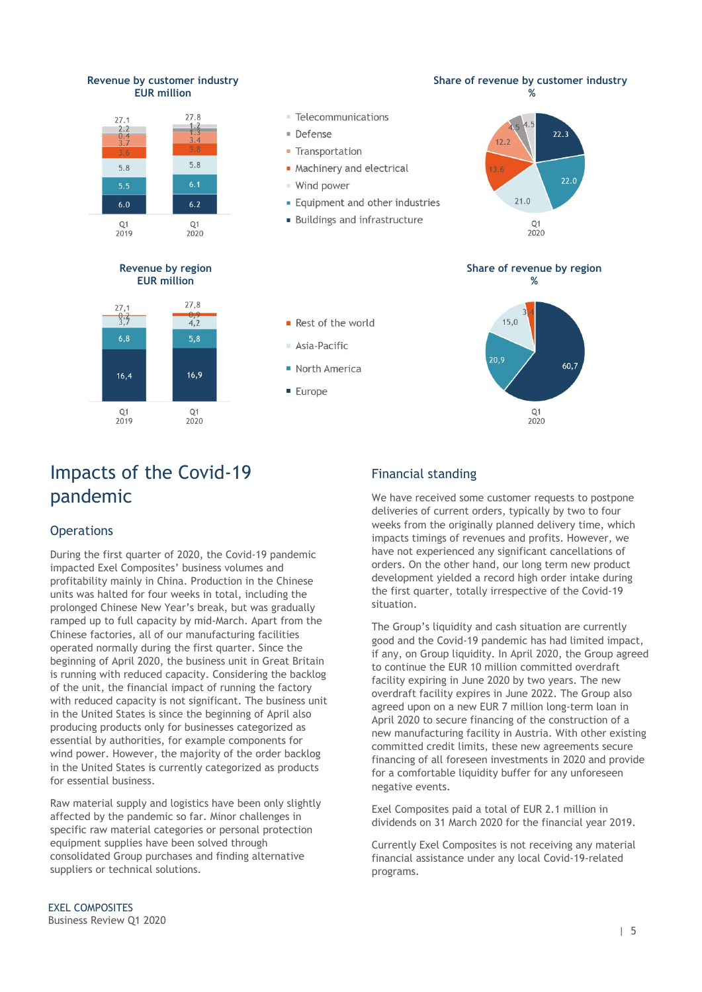#### **Revenue by customer industry EUR million**



**Revenue by region EUR million**



#### **Share of revenue by region**



#### Rest of the world

- Asia-Pacific
- North America
- **E** Furone



## Impacts of the Covid-19 pandemic

#### **Operations**

During the first quarter of 2020, the Covid-19 pandemic impacted Exel Composites' business volumes and profitability mainly in China. Production in the Chinese units was halted for four weeks in total, including the prolonged Chinese New Year's break, but was gradually ramped up to full capacity by mid-March. Apart from the Chinese factories, all of our manufacturing facilities operated normally during the first quarter. Since the beginning of April 2020, the business unit in Great Britain is running with reduced capacity. Considering the backlog of the unit, the financial impact of running the factory with reduced capacity is not significant. The business unit in the United States is since the beginning of April also producing products only for businesses categorized as essential by authorities, for example components for wind power. However, the majority of the order backlog in the United States is currently categorized as products for essential business.

Raw material supply and logistics have been only slightly affected by the pandemic so far. Minor challenges in specific raw material categories or personal protection equipment supplies have been solved through consolidated Group purchases and finding alternative suppliers or technical solutions.

### Financial standing

We have received some customer requests to postpone deliveries of current orders, typically by two to four weeks from the originally planned delivery time, which impacts timings of revenues and profits. However, we have not experienced any significant cancellations of orders. On the other hand, our long term new product development yielded a record high order intake during the first quarter, totally irrespective of the Covid-19 situation.

The Group's liquidity and cash situation are currently good and the Covid-19 pandemic has had limited impact, if any, on Group liquidity. In April 2020, the Group agreed to continue the EUR 10 million committed overdraft facility expiring in June 2020 by two years. The new overdraft facility expires in June 2022. The Group also agreed upon on a new EUR 7 million long-term loan in April 2020 to secure financing of the construction of a new manufacturing facility in Austria. With other existing committed credit limits, these new agreements secure financing of all foreseen investments in 2020 and provide for a comfortable liquidity buffer for any unforeseen negative events.

Exel Composites paid a total of EUR 2.1 million in dividends on 31 March 2020 for the financial year 2019.

Currently Exel Composites is not receiving any material financial assistance under any local Covid-19-related programs.

#### EXEL COMPOSITES Business Review Q1 2020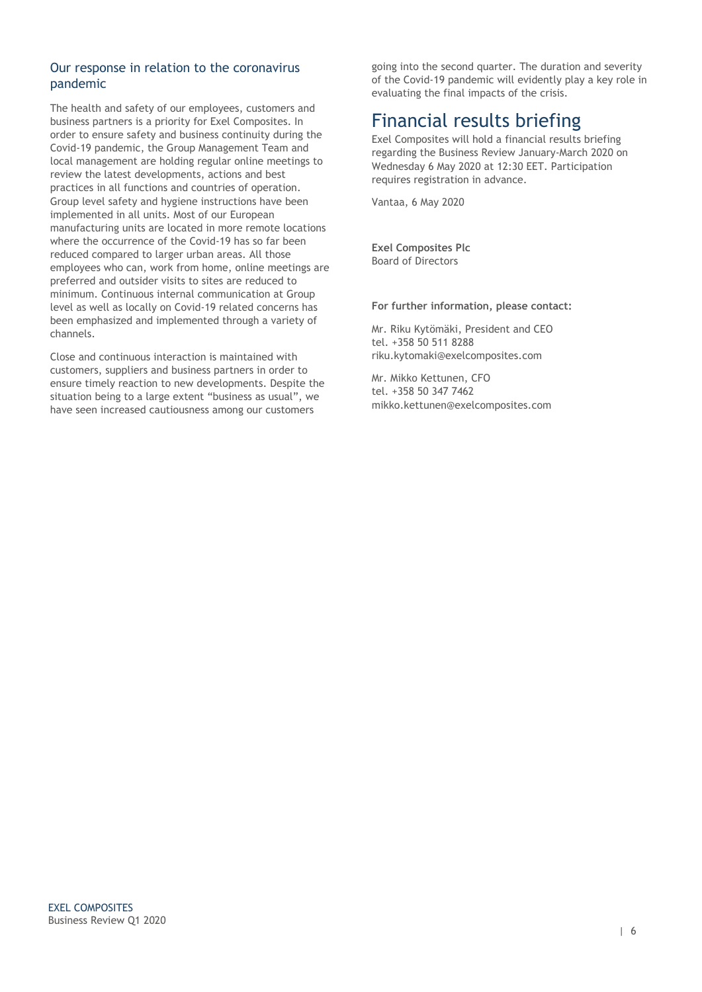### Our response in relation to the coronavirus pandemic

The health and safety of our employees, customers and business partners is a priority for Exel Composites. In order to ensure safety and business continuity during the Covid-19 pandemic, the Group Management Team and local management are holding regular online meetings to review the latest developments, actions and best practices in all functions and countries of operation. Group level safety and hygiene instructions have been implemented in all units. Most of our European manufacturing units are located in more remote locations where the occurrence of the Covid-19 has so far been reduced compared to larger urban areas. All those employees who can, work from home, online meetings are preferred and outsider visits to sites are reduced to minimum. Continuous internal communication at Group level as well as locally on Covid-19 related concerns has been emphasized and implemented through a variety of channels.

Close and continuous interaction is maintained with customers, suppliers and business partners in order to ensure timely reaction to new developments. Despite the situation being to a large extent "business as usual", we have seen increased cautiousness among our customers

going into the second quarter. The duration and severity of the Covid-19 pandemic will evidently play a key role in evaluating the final impacts of the crisis.

## Financial results briefing

Exel Composites will hold a financial results briefing regarding the Business Review January-March 2020 on Wednesday 6 May 2020 at 12:30 EET. Participation requires registration in advance.

Vantaa, 6 May 2020

**Exel Composites Plc** Board of Directors

#### **For further information, please contact:**

Mr. Riku Kytömäki, President and CEO tel. +358 50 511 8288 riku.kytomaki@exelcomposites.com

Mr. Mikko Kettunen, CFO tel. +358 50 347 7462 mikko.kettunen@exelcomposites.com